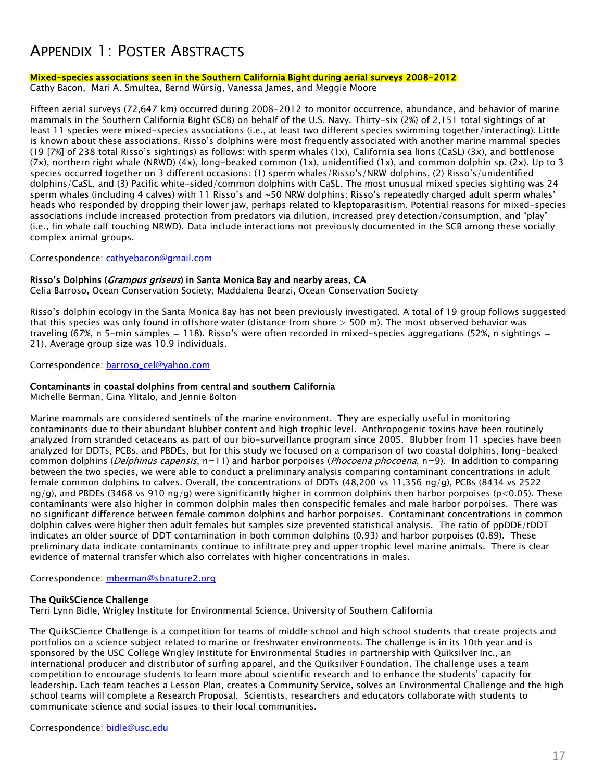### APPENDIX 1: POSTER ABSTRACTS

#### Mixed-species associations seen in the Southern California Bight during aerial surveys 2008-2012

Cathy Bacon, Mari A. Smultea, Bernd Würsig, Vanessa James, and Meggie Moore

Fifteen aerial surveys (72,647 km) occurred during 2008-2012 to monitor occurrence, abundance, and behavior of marine mammals in the Southern California Bight (SCB) on behalf of the U.S. Navy. Thirty-six (2%) of 2,151 total sightings of at least 11 species were mixed-species associations (i.e., at least two different species swimming together/interacting). Little is known about these associations. Risso's dolphins were most frequently associated with another marine mammal species (19 [7%] of 238 total Risso's sightings) as follows: with sperm whales (1x), California sea lions (CaSL) (3x), and bottlenose (7x), northern right whale (NRWD) (4x), long-beaked common (1x), unidentified (1x), and common dolphin sp. (2x). Up to 3 species occurred together on 3 different occasions: (1) sperm whales/Risso's/NRW dolphins, (2) Risso's/unidentified dolphins/CaSL, and (3) Pacific white-sided/common dolphins with CaSL. The most unusual mixed species sighting was 24 sperm whales (including 4 calves) with 11 Risso's and ~50 NRW dolphins: Risso's repeatedly charged adult sperm whales' heads who responded by dropping their lower jaw, perhaps related to kleptoparasitism. Potential reasons for mixed-species associations include increased protection from predators via dilution, increased prey detection/consumption, and "play" (i.e., fin whale calf touching NRWD). Data include interactions not previously documented in the SCB among these socially complex animal groups.

Correspondence: [cathyebacon@gmail.com](mailto:cathyebacon@gmail.com)

#### Risso's Dolphins (Grampus griseus) in Santa Monica Bay and nearby areas, CA

Celia Barroso, Ocean Conservation Society; Maddalena Bearzi, Ocean Conservation Society

Risso's dolphin ecology in the Santa Monica Bay has not been previously investigated. A total of 19 group follows suggested that this species was only found in offshore water (distance from shore > 500 m). The most observed behavior was traveling (67%, n 5-min samples = 118). Risso's were often recorded in mixed-species aggregations (52%, n sightings = 21). Average group size was 10.9 individuals.

Correspondence: [barroso\\_cel@yahoo.com](mailto:barroso_cel@yahoo.com)

#### Contaminants in coastal dolphins from central and southern California

Michelle Berman, Gina Ylitalo, and Jennie Bolton

Marine mammals are considered sentinels of the marine environment. They are especially useful in monitoring contaminants due to their abundant blubber content and high trophic level. Anthropogenic toxins have been routinely analyzed from stranded cetaceans as part of our bio-surveillance program since 2005. Blubber from 11 species have been analyzed for DDTs, PCBs, and PBDEs, but for this study we focused on a comparison of two coastal dolphins, long-beaked common dolphins (*Delphinus capensis*, n=11) and harbor porpoises (*Phocoena phocoena*, n=9). In addition to comparing between the two species, we were able to conduct a preliminary analysis comparing contaminant concentrations in adult female common dolphins to calves. Overall, the concentrations of DDTs (48,200 vs 11,356 ng/g), PCBs (8434 vs 2522  $nq/q$ , and PBDEs (3468 vs 910  $nq/q$ ) were significantly higher in common dolphins then harbor porpoises (p<0.05). These contaminants were also higher in common dolphin males then conspecific females and male harbor porpoises. There was no significant difference between female common dolphins and harbor porpoises. Contaminant concentrations in common dolphin calves were higher then adult females but samples size prevented statistical analysis. The ratio of ppDDE/tDDT indicates an older source of DDT contamination in both common dolphins (0.93) and harbor porpoises (0.89). These preliminary data indicate contaminants continue to infiltrate prey and upper trophic level marine animals. There is clear evidence of maternal transfer which also correlates with higher concentrations in males.

Correspondence: [mberman@sbnature2.org](mailto:mberman@sbnature2.org)

#### The QuikSCience Challenge

Terri Lynn Bidle, Wrigley Institute for Environmental Science, University of Southern California

The QuikSCience Challenge is a competition for teams of middle school and high school students that create projects and portfolios on a science subject related to marine or freshwater environments. The challenge is in its 10th year and is sponsored by the USC College Wrigley Institute for Environmental Studies in partnership with Quiksilver Inc., an international producer and distributor of surfing apparel, and the Quiksilver Foundation. The challenge uses a team competition to encourage students to learn more about scientific research and to enhance the students' capacity for leadership. Each team teaches a Lesson Plan, creates a Community Service, solves an Environmental Challenge and the high school teams will complete a Research Proposal. Scientists, researchers and educators collaborate with students to communicate science and social issues to their local communities.